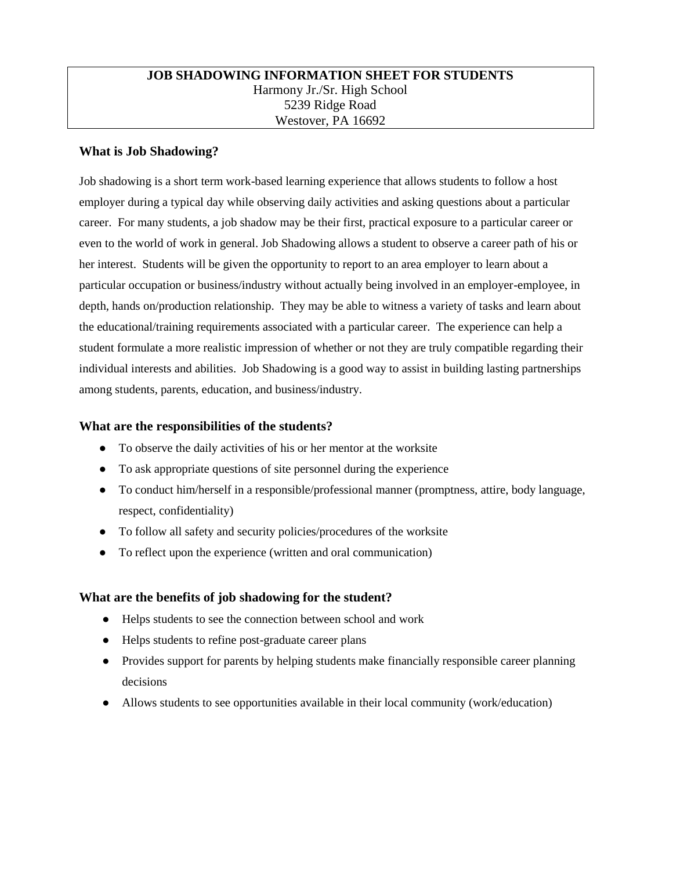### **JOB SHADOWING INFORMATION SHEET FOR STUDENTS** Harmony Jr./Sr. High School 5239 Ridge Road Westover, PA 16692

### **What is Job Shadowing?**

Job shadowing is a short term work-based learning experience that allows students to follow a host employer during a typical day while observing daily activities and asking questions about a particular career. For many students, a job shadow may be their first, practical exposure to a particular career or even to the world of work in general. Job Shadowing allows a student to observe a career path of his or her interest. Students will be given the opportunity to report to an area employer to learn about a particular occupation or business/industry without actually being involved in an employer-employee, in depth, hands on/production relationship. They may be able to witness a variety of tasks and learn about the educational/training requirements associated with a particular career. The experience can help a student formulate a more realistic impression of whether or not they are truly compatible regarding their individual interests and abilities. Job Shadowing is a good way to assist in building lasting partnerships among students, parents, education, and business/industry.

### **What are the responsibilities of the students?**

- To observe the daily activities of his or her mentor at the worksite
- To ask appropriate questions of site personnel during the experience
- To conduct him/herself in a responsible/professional manner (promptness, attire, body language, respect, confidentiality)
- To follow all safety and security policies/procedures of the worksite
- To reflect upon the experience (written and oral communication)

### **What are the benefits of job shadowing for the student?**

- Helps students to see the connection between school and work
- Helps students to refine post-graduate career plans
- Provides support for parents by helping students make financially responsible career planning decisions
- Allows students to see opportunities available in their local community (work/education)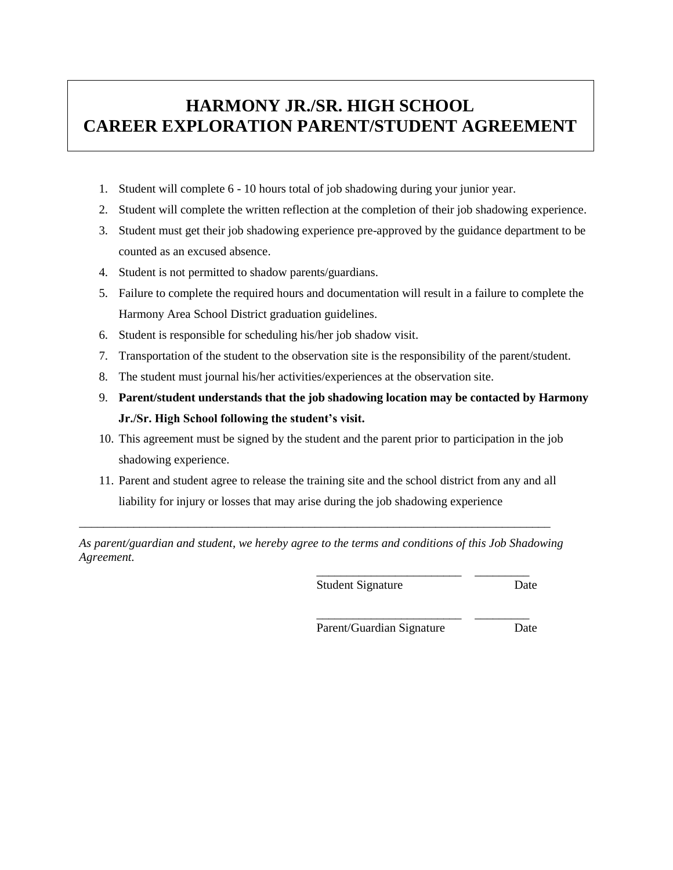# **HARMONY JR./SR. HIGH SCHOOL CAREER EXPLORATION PARENT/STUDENT AGREEMENT**

- 1. Student will complete 6 10 hours total of job shadowing during your junior year.
- 2. Student will complete the written reflection at the completion of their job shadowing experience.
- 3. Student must get their job shadowing experience pre-approved by the guidance department to be counted as an excused absence.
- 4. Student is not permitted to shadow parents/guardians.
- 5. Failure to complete the required hours and documentation will result in a failure to complete the Harmony Area School District graduation guidelines.
- 6. Student is responsible for scheduling his/her job shadow visit.
- 7. Transportation of the student to the observation site is the responsibility of the parent/student.
- 8. The student must journal his/her activities/experiences at the observation site.
- 9. **Parent/student understands that the job shadowing location may be contacted by Harmony Jr./Sr. High School following the student's visit.**
- 10. This agreement must be signed by the student and the parent prior to participation in the job shadowing experience.
- 11. Parent and student agree to release the training site and the school district from any and all liability for injury or losses that may arise during the job shadowing experience

*As parent/guardian and student, we hereby agree to the terms and conditions of this Job Shadowing Agreement.*

\_\_\_\_\_\_\_\_\_\_\_\_\_\_\_\_\_\_\_\_\_\_\_\_\_\_\_\_\_\_\_\_\_\_\_\_\_\_\_\_\_\_\_\_\_\_\_\_\_\_\_\_\_\_\_\_\_\_\_\_\_\_\_\_\_\_\_\_\_\_\_\_\_\_\_\_\_\_

Student Signature Date

\_\_\_\_\_\_\_\_\_\_\_\_\_\_\_\_\_\_\_\_\_\_\_\_ \_\_\_\_\_\_\_\_\_

Parent/Guardian Signature Date

\_\_\_\_\_\_\_\_\_\_\_\_\_\_\_\_\_\_\_\_\_\_\_\_ \_\_\_\_\_\_\_\_\_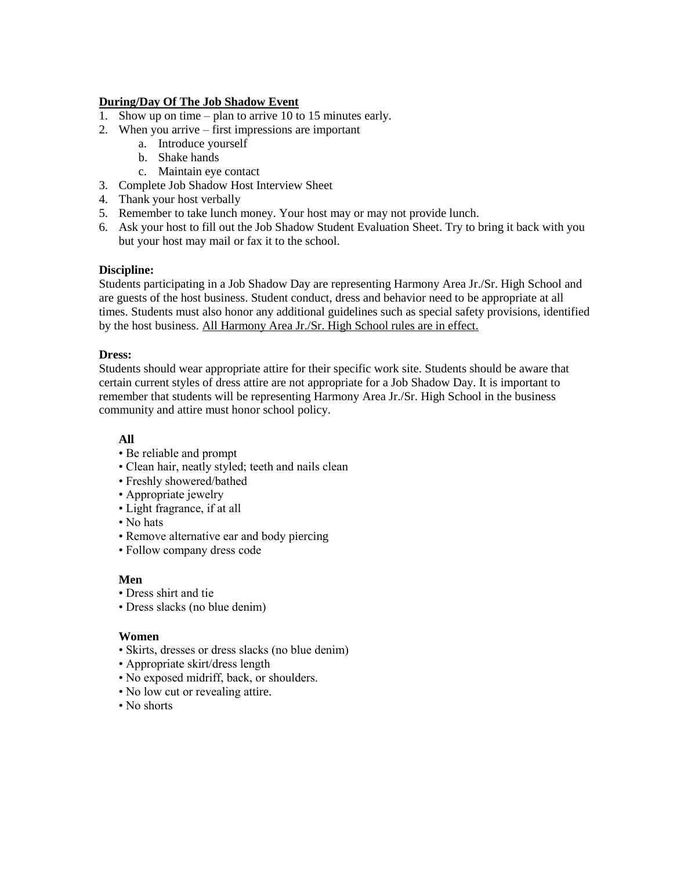### **During/Day Of The Job Shadow Event**

- 1. Show up on time plan to arrive 10 to 15 minutes early.
- 2. When you arrive first impressions are important
	- a. Introduce yourself
	- b. Shake hands
	- c. Maintain eye contact
- 3. Complete Job Shadow Host Interview Sheet
- 4. Thank your host verbally
- 5. Remember to take lunch money. Your host may or may not provide lunch.
- 6. Ask your host to fill out the Job Shadow Student Evaluation Sheet. Try to bring it back with you but your host may mail or fax it to the school.

### **Discipline:**

Students participating in a Job Shadow Day are representing Harmony Area Jr./Sr. High School and are guests of the host business. Student conduct, dress and behavior need to be appropriate at all times. Students must also honor any additional guidelines such as special safety provisions, identified by the host business. All Harmony Area Jr./Sr. High School rules are in effect.

### **Dress:**

Students should wear appropriate attire for their specific work site. Students should be aware that certain current styles of dress attire are not appropriate for a Job Shadow Day. It is important to remember that students will be representing Harmony Area Jr./Sr. High School in the business community and attire must honor school policy.

### **All**

- Be reliable and prompt
- Clean hair, neatly styled; teeth and nails clean
- Freshly showered/bathed
- Appropriate jewelry
- Light fragrance, if at all
- No hats
- Remove alternative ear and body piercing
- Follow company dress code

### **Men**

- Dress shirt and tie
- Dress slacks (no blue denim)

### **Women**

- Skirts, dresses or dress slacks (no blue denim)
- Appropriate skirt/dress length
- No exposed midriff, back, or shoulders.
- No low cut or revealing attire.
- No shorts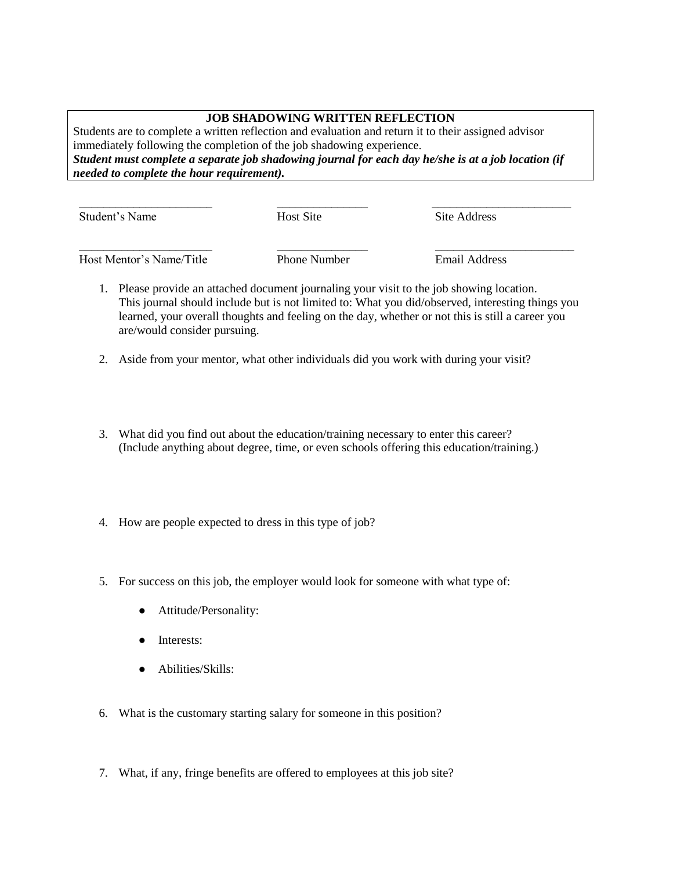### **JOB SHADOWING WRITTEN REFLECTION**

Students are to complete a written reflection and evaluation and return it to their assigned advisor immediately following the completion of the job shadowing experience. *Student must complete a separate job shadowing journal for each day he/she is at a job location (if needed to complete the hour requirement).*

| Student's Name           | <b>Host Site</b>    | Site Address  |  |
|--------------------------|---------------------|---------------|--|
| Host Mentor's Name/Title | <b>Phone Number</b> | Email Address |  |

1. Please provide an attached document journaling your visit to the job showing location. This journal should include but is not limited to: What you did/observed, interesting things you learned, your overall thoughts and feeling on the day, whether or not this is still a career you are/would consider pursuing.

- 2. Aside from your mentor, what other individuals did you work with during your visit?
- 3. What did you find out about the education/training necessary to enter this career? (Include anything about degree, time, or even schools offering this education/training.)
- 4. How are people expected to dress in this type of job?
- 5. For success on this job, the employer would look for someone with what type of:
	- Attitude/Personality:
	- Interests:
	- Abilities/Skills:
- 6. What is the customary starting salary for someone in this position?
- 7. What, if any, fringe benefits are offered to employees at this job site?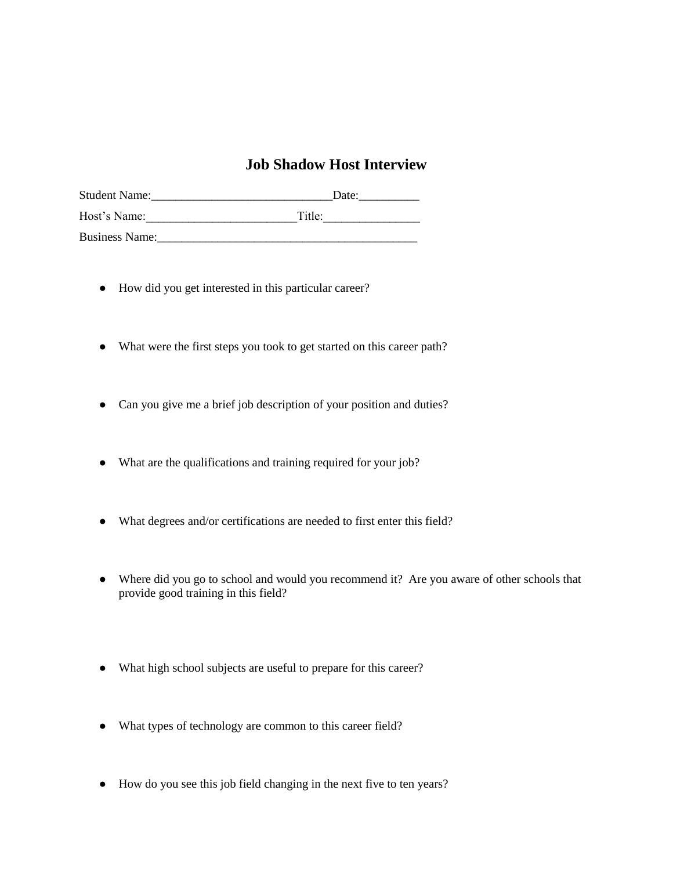### **Job Shadow Host Interview**

| <b>Student Name:</b>  | Date:  |
|-----------------------|--------|
| Host's Name:          | Title: |
| <b>Business Name:</b> |        |

- How did you get interested in this particular career?
- What were the first steps you took to get started on this career path?
- Can you give me a brief job description of your position and duties?
- What are the qualifications and training required for your job?
- What degrees and/or certifications are needed to first enter this field?
- Where did you go to school and would you recommend it? Are you aware of other schools that provide good training in this field?
- What high school subjects are useful to prepare for this career?
- What types of technology are common to this career field?
- How do you see this job field changing in the next five to ten years?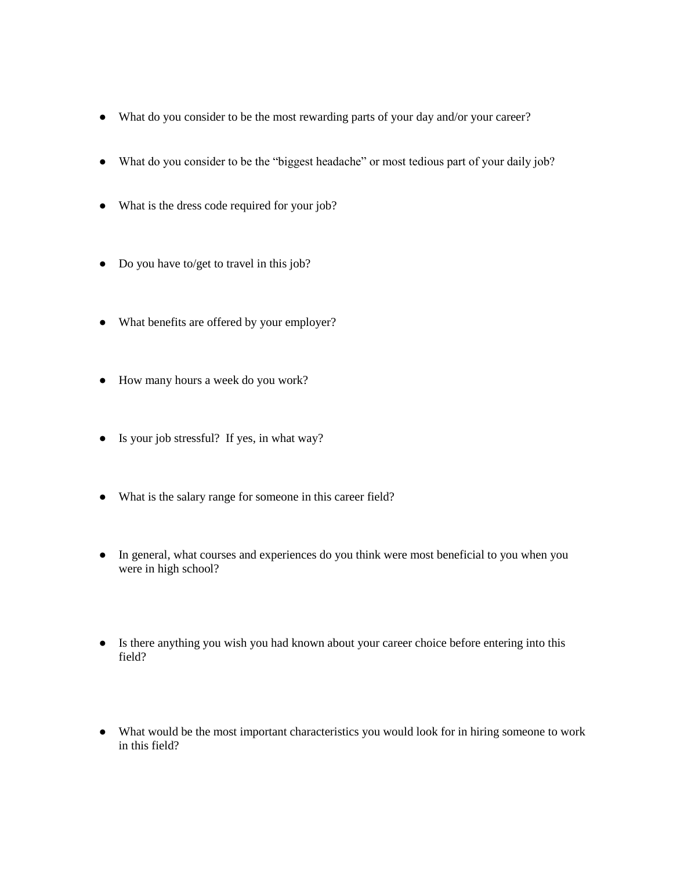- What do you consider to be the most rewarding parts of your day and/or your career?
- What do you consider to be the "biggest headache" or most tedious part of your daily job?
- What is the dress code required for your job?
- Do you have to/get to travel in this job?
- What benefits are offered by your employer?
- How many hours a week do you work?
- Is your job stressful? If yes, in what way?
- What is the salary range for someone in this career field?
- In general, what courses and experiences do you think were most beneficial to you when you were in high school?
- Is there anything you wish you had known about your career choice before entering into this field?
- What would be the most important characteristics you would look for in hiring someone to work in this field?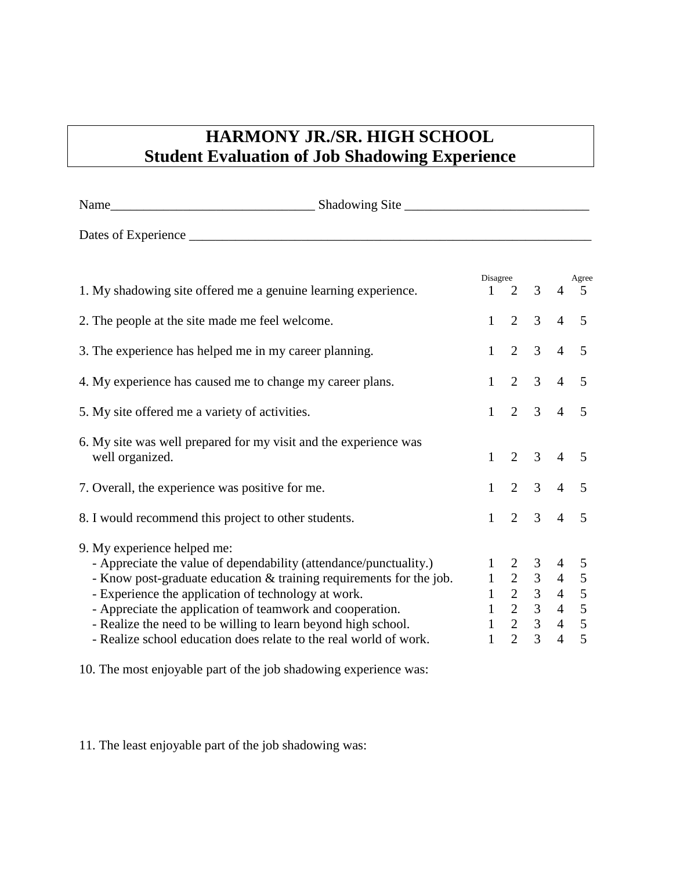# **HARMONY JR./SR. HIGH SCHOOL Student Evaluation of Job Shadowing Experience**

| 1. My shadowing site offered me a genuine learning experience.                                                                                                                                                                                                                                                                                               | 1                                                                                                                                                                                                                                 | Disagree<br>2   | $\overline{3}$      | 4              | Agree<br>.5    |
|--------------------------------------------------------------------------------------------------------------------------------------------------------------------------------------------------------------------------------------------------------------------------------------------------------------------------------------------------------------|-----------------------------------------------------------------------------------------------------------------------------------------------------------------------------------------------------------------------------------|-----------------|---------------------|----------------|----------------|
| 2. The people at the site made me feel welcome.                                                                                                                                                                                                                                                                                                              | $\mathbf{1}$                                                                                                                                                                                                                      | $\overline{2}$  | 3 <sup>7</sup>      | $\overline{4}$ | 5              |
| 3. The experience has helped me in my career planning.                                                                                                                                                                                                                                                                                                       | $1 -$                                                                                                                                                                                                                             | $\overline{2}$  | 3 <sup>7</sup>      | $\overline{4}$ | 5              |
| 4. My experience has caused me to change my career plans.                                                                                                                                                                                                                                                                                                    | $1 -$                                                                                                                                                                                                                             | $\overline{2}$  | 3 <sup>7</sup>      | $\overline{4}$ | 5              |
| 5. My site offered me a variety of activities.                                                                                                                                                                                                                                                                                                               |                                                                                                                                                                                                                                   | $1 \t2 \t3 \t4$ |                     |                | $\overline{5}$ |
| 6. My site was well prepared for my visit and the experience was<br>well organized.                                                                                                                                                                                                                                                                          | $\mathbf{1}$                                                                                                                                                                                                                      | 2               | $\mathfrak{Z}$      | $\overline{4}$ | 5              |
| 7. Overall, the experience was positive for me.                                                                                                                                                                                                                                                                                                              | $1 -$                                                                                                                                                                                                                             |                 | $2 \quad 3 \quad 4$ |                | 5              |
| 8. I would recommend this project to other students.                                                                                                                                                                                                                                                                                                         | $1 -$                                                                                                                                                                                                                             |                 | $2 \quad 3$         | $\overline{4}$ | $\overline{5}$ |
| 9. My experience helped me:<br>- Appreciate the value of dependability (attendance/punctuality.)<br>- Know post-graduate education & training requirements for the job.<br>- Experience the application of technology at work.<br>- Appreciate the application of teamwork and cooperation.<br>- Realize the need to be willing to learn beyond high school. | $\begin{array}{ccccccccc} & & & & & & 3 & & 4 \\ & 2 & & 3 & & 4 & & \\ 1 & & 2 & & 3 & & 4 & & \\ 1 & & 2 & & 3 & & 4 & & 5 \\ & & & 2 & & 3 & & 4 & & 5 \\ & & & & 2 & & 3 & & 4 & & \\ & & & & 2 & & 3 & & & & \\ \end{array}$ |                 |                     |                |                |
| - Realize school education does relate to the real world of work.                                                                                                                                                                                                                                                                                            |                                                                                                                                                                                                                                   |                 |                     |                |                |

10. The most enjoyable part of the job shadowing experience was:

11. The least enjoyable part of the job shadowing was: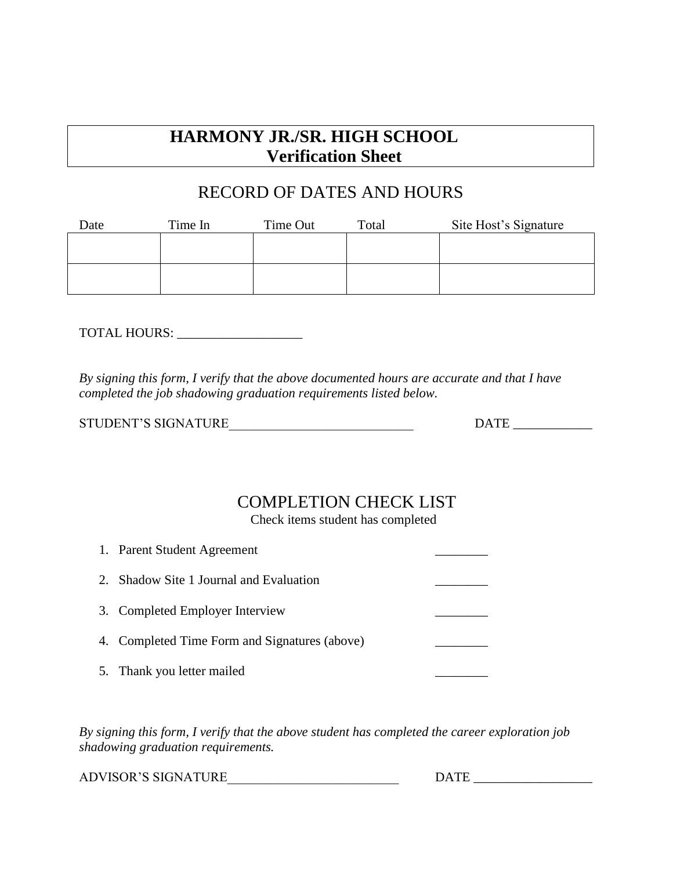# **HARMONY JR./SR. HIGH SCHOOL Verification Sheet**

# RECORD OF DATES AND HOURS

| Date | Time In | Time Out | Total | Site Host's Signature |
|------|---------|----------|-------|-----------------------|
|      |         |          |       |                       |
|      |         |          |       |                       |
|      |         |          |       |                       |
|      |         |          |       |                       |

TOTAL HOURS: \_\_\_\_\_\_\_\_\_\_\_\_\_\_\_\_\_\_\_

*By signing this form, I verify that the above documented hours are accurate and that I have completed the job shadowing graduation requirements listed below.*

| STUDENT'S SIGNATURE | <b>DATE</b> |
|---------------------|-------------|
|                     |             |

## COMPLETION CHECK LIST

Check items student has completed

|    | 1. Parent Student Agreement                   |  |
|----|-----------------------------------------------|--|
| 2. | Shadow Site 1 Journal and Evaluation          |  |
|    | 3. Completed Employer Interview               |  |
|    | 4. Completed Time Form and Signatures (above) |  |
|    | 5. Thank you letter mailed                    |  |

*By signing this form, I verify that the above student has completed the career exploration job shadowing graduation requirements.*

ADVISOR'S SIGNATURE\_\_\_\_\_\_\_\_\_\_\_\_\_\_\_\_\_\_\_\_\_\_\_\_\_\_ DATE \_\_\_\_\_\_\_\_\_\_\_\_\_\_\_\_\_\_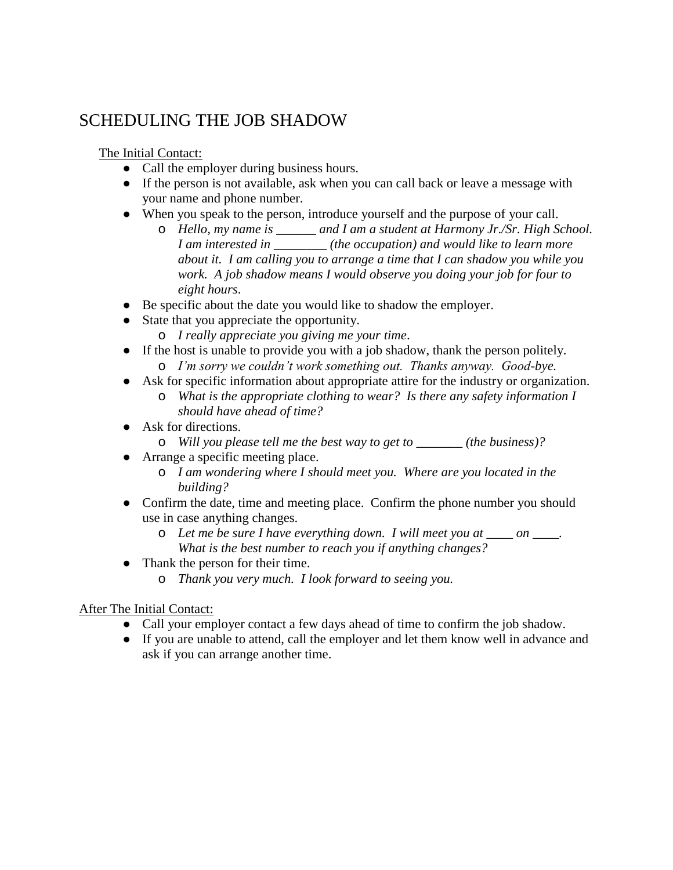# SCHEDULING THE JOB SHADOW

The Initial Contact:

- Call the employer during business hours.
- If the person is not available, ask when you can call back or leave a message with your name and phone number.
- When you speak to the person, introduce yourself and the purpose of your call.
	- o *Hello, my name is \_\_\_\_\_\_ and I am a student at Harmony Jr./Sr. High School. I am interested in \_\_\_\_\_\_\_\_ (the occupation) and would like to learn more about it. I am calling you to arrange a time that I can shadow you while you work. A job shadow means I would observe you doing your job for four to eight hours*.
- Be specific about the date you would like to shadow the employer.
- State that you appreciate the opportunity.
	- o *I really appreciate you giving me your time*.
- If the host is unable to provide you with a job shadow, thank the person politely. o *I'm sorry we couldn't work something out. Thanks anyway. Good-bye.*
- Ask for specific information about appropriate attire for the industry or organization. o *What is the appropriate clothing to wear? Is there any safety information I should have ahead of time?*
- Ask for directions.
	- o *Will you please tell me the best way to get to \_\_\_\_\_\_\_ (the business)?*
- Arrange a specific meeting place.
	- o *I am wondering where I should meet you. Where are you located in the building?*
- Confirm the date, time and meeting place. Confirm the phone number you should use in case anything changes.
	- o *Let me be sure I have everything down. I will meet you at \_\_\_\_ on \_\_\_\_. What is the best number to reach you if anything changes?*
- Thank the person for their time.
	- o *Thank you very much. I look forward to seeing you.*

### After The Initial Contact:

- Call your employer contact a few days ahead of time to confirm the job shadow.
- If you are unable to attend, call the employer and let them know well in advance and ask if you can arrange another time.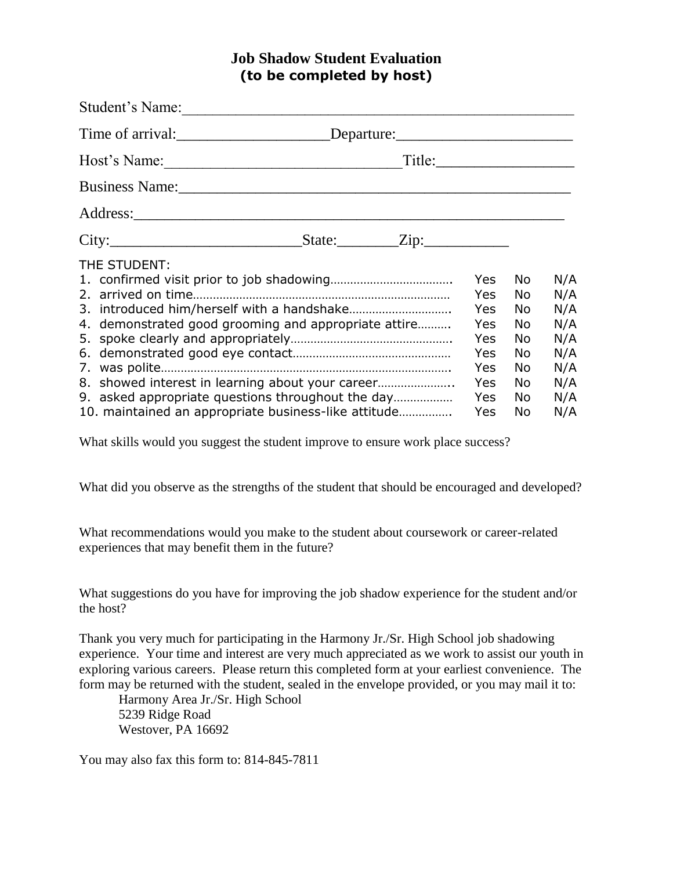### **Job Shadow Student Evaluation (to be completed by host)**

| Student's Name:                                                                                                                                               |  |                                         |                          |                          |
|---------------------------------------------------------------------------------------------------------------------------------------------------------------|--|-----------------------------------------|--------------------------|--------------------------|
| Time of arrival: _________________________Departure: ___________________________                                                                              |  |                                         |                          |                          |
|                                                                                                                                                               |  |                                         |                          |                          |
|                                                                                                                                                               |  |                                         |                          |                          |
|                                                                                                                                                               |  |                                         |                          |                          |
|                                                                                                                                                               |  |                                         |                          |                          |
| THE STUDENT:<br>4. demonstrated good grooming and appropriate attire                                                                                          |  | <b>Yes</b><br>Yes<br>Yes.<br><b>Yes</b> | No.<br>No.<br>No.<br>No. | N/A<br>N/A<br>N/A<br>N/A |
|                                                                                                                                                               |  | <b>Yes</b><br>Yes<br><b>Yes</b>         | No<br>No<br>No.          | N/A<br>N/A<br>N/A        |
| 8. showed interest in learning about your career<br>9. asked appropriate questions throughout the day<br>10. maintained an appropriate business-like attitude |  | Yes<br>Yes<br><b>Yes</b>                | No<br>No.<br>No          | N/A<br>N/A<br>N/A        |

What skills would you suggest the student improve to ensure work place success?

What did you observe as the strengths of the student that should be encouraged and developed?

What recommendations would you make to the student about coursework or career-related experiences that may benefit them in the future?

What suggestions do you have for improving the job shadow experience for the student and/or the host?

Thank you very much for participating in the Harmony Jr./Sr. High School job shadowing experience. Your time and interest are very much appreciated as we work to assist our youth in exploring various careers. Please return this completed form at your earliest convenience. The form may be returned with the student, sealed in the envelope provided, or you may mail it to:

Harmony Area Jr./Sr. High School 5239 Ridge Road Westover, PA 16692

You may also fax this form to: 814-845-7811